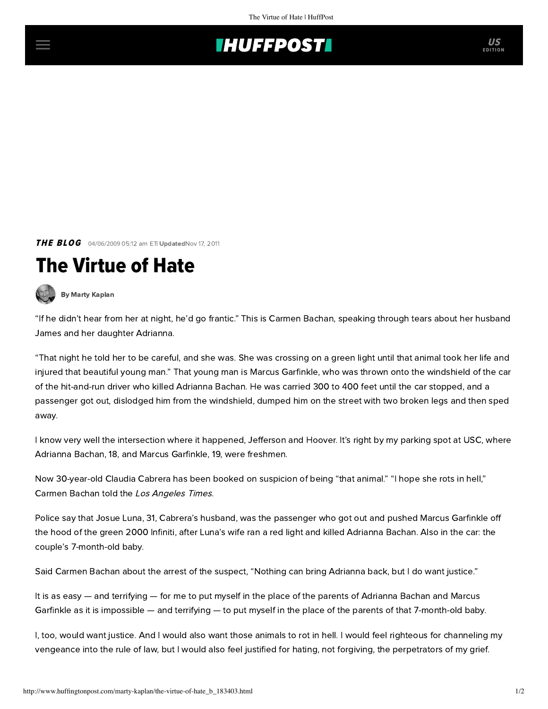## **THUFFPOSTI** US

**THE BLOG** 04/06/2009 05:12 am ETI UpdatedNov 17, 2011

## The Virtue of Hate



[By Marty Kaplan](http://www.huffingtonpost.com/author/marty-kaplan)

"If he didn't hear from her at night, he'd go frantic." This is Carmen Bachan, speaking through tears about her husband James and her daughter Adrianna.

"That night he told her to be careful, and she was. She was crossing on a green light until that animal took her life and injured that beautiful young man." That young man is Marcus Garfinkle, who was thrown onto the windshield of the car of the hit-and-run driver who killed Adrianna Bachan. He was carried 300 to 400 feet until the car stopped, and a passenger got out, dislodged him from the windshield, dumped him on the street with two broken legs and then sped away.

I know very well the intersection where it happened, Jefferson and Hoover. It's right by my parking spot at USC, where Adrianna Bachan, 18, and Marcus Garfinkle, 19, were freshmen.

Now 30-year-old Claudia Cabrera has been booked on suspicion of being "that animal." "I hope she rots in hell," Carmen Bachan told the [Los Angeles Times](http://www.latimes.com/news/local/la-me-usc-ped4-2009apr04,0,3292820.story).

Police say that Josue Luna, 31, Cabrera's husband, was the passenger who got out and pushed Marcus Garfinkle off the hood of the green 2000 Infiniti, after Luna's wife ran a red light and killed Adrianna Bachan. Also in the car: the couple's 7-month-old baby.

Said Carmen Bachan about the arrest of the suspect, "Nothing can bring Adrianna back, but I do want justice."

It is as easy — and terrifying — for me to put myself in the place of the parents of Adrianna Bachan and Marcus Garfinkle as it is impossible — and terrifying — to put myself in the place of the parents of that 7-month-old baby.

I, too, would want justice. And I would also want those animals to rot in hell. I would feel righteous for channeling my vengeance into the rule of law, but I would also feel justified for hating, not forgiving, the perpetrators of my grief.